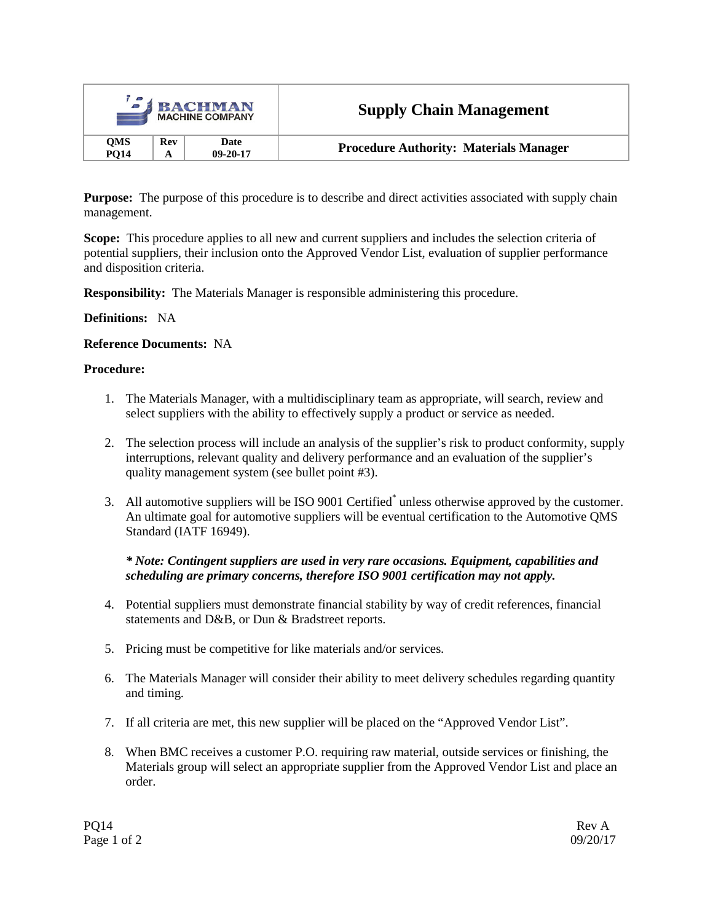| <b>J BACHMAN</b><br><b>MACHINE COMPANY</b> |     |                        | <b>Supply Chain Management</b>                |  |
|--------------------------------------------|-----|------------------------|-----------------------------------------------|--|
| <b>OMS</b><br><b>PO14</b>                  | Rev | Date<br>$09 - 20 - 17$ | <b>Procedure Authority: Materials Manager</b> |  |

**Purpose:** The purpose of this procedure is to describe and direct activities associated with supply chain management.

**Scope:** This procedure applies to all new and current suppliers and includes the selection criteria of potential suppliers, their inclusion onto the Approved Vendor List, evaluation of supplier performance and disposition criteria.

**Responsibility:** The Materials Manager is responsible administering this procedure.

## **Definitions:** NA

## **Reference Documents:** NA

## **Procedure:**

- 1. The Materials Manager, with a multidisciplinary team as appropriate, will search, review and select suppliers with the ability to effectively supply a product or service as needed.
- 2. The selection process will include an analysis of the supplier's risk to product conformity, supply interruptions, relevant quality and delivery performance and an evaluation of the supplier's quality management system (see bullet point #3).
- 3. All automotive suppliers will be ISO 9001 Certified\* unless otherwise approved by the customer. An ultimate goal for automotive suppliers will be eventual certification to the Automotive QMS Standard (IATF 16949).

## *\* Note: Contingent suppliers are used in very rare occasions. Equipment, capabilities and scheduling are primary concerns, therefore ISO 9001 certification may not apply.*

- 4. Potential suppliers must demonstrate financial stability by way of credit references, financial statements and D&B, or Dun & Bradstreet reports.
- 5. Pricing must be competitive for like materials and/or services.
- 6. The Materials Manager will consider their ability to meet delivery schedules regarding quantity and timing.
- 7. If all criteria are met, this new supplier will be placed on the "Approved Vendor List".
- 8. When BMC receives a customer P.O. requiring raw material, outside services or finishing, the Materials group will select an appropriate supplier from the Approved Vendor List and place an order.